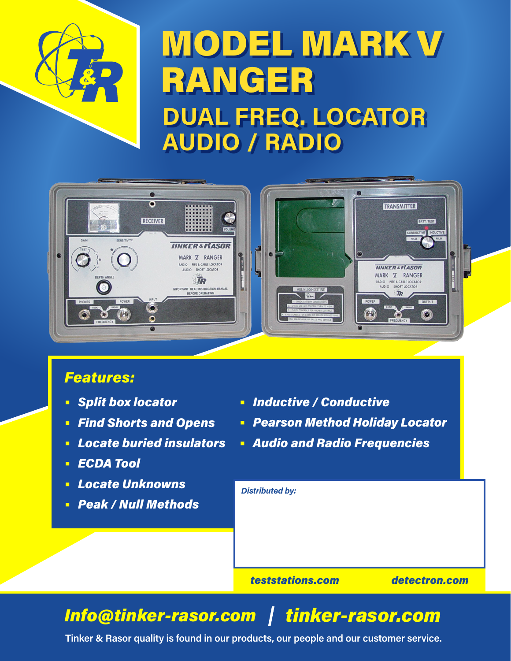

## MODEL MARK V RANGER **DUAL FREQ. LOCATOR AUDIO / RADIO**



## *Features:*

- **•** *Split box locator*
- **•** *Find Shorts and Opens*
- **•** *Locate buried insulators*
- **•** *ECDA Tool*
- **•** *Locate Unknowns*
- **•** *Peak / Null Methods*
- **•** *Inductive / Conductive*
- **•** *Pearson Method Holiday Locator*
- **•** *Audio and Radio Frequencies*

*teststations.com detectron.com Distributed by:*

## *Info@tinker-rasor.com tinker-rasor.com*

**Tinker & Rasor quality is found in our products, our people and our customer service.**